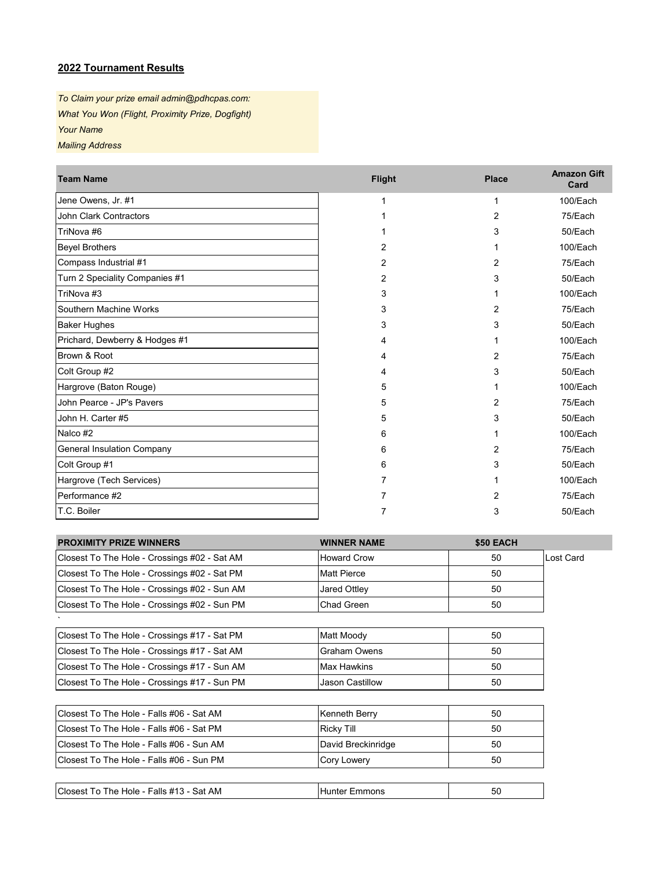## **2022 Tournament Results**

*To Claim your prize email admin@pdhcpas.com: What You Won (Flight, Proximity Prize, Dogfight) Your Name Mailing Address*

| <b>Team Name</b>                  | <b>Flight</b> | <b>Place</b>   | <b>Amazon Gift</b><br>Card |
|-----------------------------------|---------------|----------------|----------------------------|
| Jene Owens, Jr. #1                |               |                | 100/Each                   |
| <b>John Clark Contractors</b>     |               | $\overline{2}$ | 75/Each                    |
| TriNova #6                        |               | 3              | 50/Each                    |
| <b>Beyel Brothers</b>             | 2             |                | 100/Each                   |
| Compass Industrial #1             | 2             | 2              | 75/Each                    |
| Turn 2 Speciality Companies #1    | 2             | 3              | 50/Each                    |
| TriNova #3                        | 3             |                | 100/Each                   |
| Southern Machine Works            | 3             | 2              | 75/Each                    |
| <b>Baker Hughes</b>               | 3             | 3              | 50/Each                    |
| Prichard, Dewberry & Hodges #1    | 4             |                | 100/Each                   |
| Brown & Root                      |               | 2              | 75/Each                    |
| Colt Group #2                     | 4             | 3              | 50/Each                    |
| Hargrove (Baton Rouge)            | 5             |                | 100/Each                   |
| John Pearce - JP's Pavers         | 5             | 2              | 75/Each                    |
| John H. Carter #5                 | 5             | 3              | 50/Each                    |
| Nalco #2                          | 6             |                | 100/Each                   |
| <b>General Insulation Company</b> | 6             | 2              | 75/Each                    |
| Colt Group #1                     | 6             | 3              | 50/Each                    |
| Hargrove (Tech Services)          |               |                | 100/Each                   |
| Performance #2                    |               | 2              | 75/Each                    |
| T.C. Boiler                       |               | 3              | 50/Each                    |

| <b>PROXIMITY PRIZE WINNERS</b>               | <b>WINNER NAME</b>   | \$50 EACH |           |
|----------------------------------------------|----------------------|-----------|-----------|
| Closest To The Hole - Crossings #02 - Sat AM | <b>Howard Crow</b>   | 50        | Lost Card |
| Closest To The Hole - Crossings #02 - Sat PM | <b>Matt Pierce</b>   | 50        |           |
| Closest To The Hole - Crossings #02 - Sun AM | Jared Ottley         | 50        |           |
| Closest To The Hole - Crossings #02 - Sun PM | Chad Green           | 50        |           |
|                                              |                      |           |           |
| Closest To The Hole - Crossings #17 - Sat PM | Matt Moody           | 50        |           |
| Closest To The Hole - Crossings #17 - Sat AM | <b>Graham Owens</b>  | 50        |           |
| Closest To The Hole - Crossings #17 - Sun AM | Max Hawkins          | 50        |           |
| Closest To The Hole - Crossings #17 - Sun PM | Jason Castillow      | 50        |           |
|                                              |                      |           |           |
| Closest To The Hole - Falls #06 - Sat AM     | Kenneth Berry        | 50        |           |
| Closest To The Hole - Falls #06 - Sat PM     | <b>Ricky Till</b>    | 50        |           |
| Closest To The Hole - Falls #06 - Sun AM     | David Breckinridge   | 50        |           |
| Closest To The Hole - Falls #06 - Sun PM     | <b>Cory Lowery</b>   | 50        |           |
|                                              |                      |           |           |
| Closest To The Hole - Falls #13 - Sat AM     | <b>Hunter Emmons</b> | 50        |           |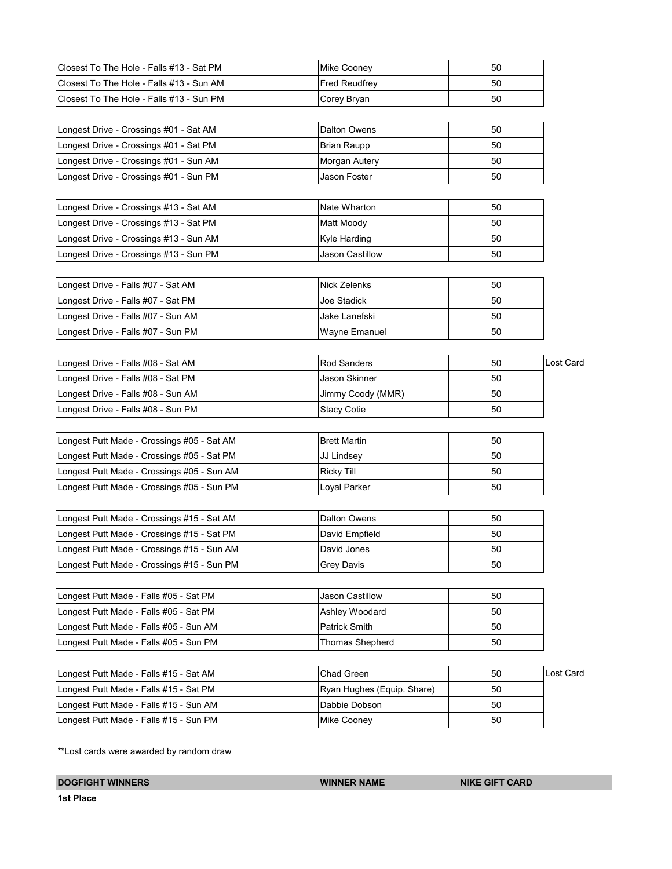| Closest To The Hole - Falls #13 - Sat PM   | <b>Mike Cooney</b>         | 50 |           |
|--------------------------------------------|----------------------------|----|-----------|
| Closest To The Hole - Falls #13 - Sun AM   | <b>Fred Reudfrey</b>       | 50 |           |
| Closest To The Hole - Falls #13 - Sun PM   | Corey Bryan                | 50 |           |
|                                            |                            |    |           |
| Longest Drive - Crossings #01 - Sat AM     | Dalton Owens               | 50 |           |
| Longest Drive - Crossings #01 - Sat PM     | <b>Brian Raupp</b>         | 50 |           |
| Longest Drive - Crossings #01 - Sun AM     | Morgan Autery              | 50 |           |
| Longest Drive - Crossings #01 - Sun PM     | Jason Foster               | 50 |           |
|                                            |                            |    |           |
| Longest Drive - Crossings #13 - Sat AM     | Nate Wharton               | 50 |           |
| Longest Drive - Crossings #13 - Sat PM     | Matt Moody                 | 50 |           |
| Longest Drive - Crossings #13 - Sun AM     | Kyle Harding               | 50 |           |
| Longest Drive - Crossings #13 - Sun PM     | Jason Castillow            | 50 |           |
|                                            |                            |    |           |
| Longest Drive - Falls #07 - Sat AM         | Nick Zelenks               | 50 |           |
| Longest Drive - Falls #07 - Sat PM         | Joe Stadick                | 50 |           |
| Longest Drive - Falls #07 - Sun AM         | Jake Lanefski              | 50 |           |
| Longest Drive - Falls #07 - Sun PM         | Wayne Emanuel              | 50 |           |
|                                            |                            |    |           |
| Longest Drive - Falls #08 - Sat AM         | <b>Rod Sanders</b>         | 50 | Lost Card |
| Longest Drive - Falls #08 - Sat PM         | Jason Skinner              | 50 |           |
| Longest Drive - Falls #08 - Sun AM         | Jimmy Coody (MMR)          | 50 |           |
| Longest Drive - Falls #08 - Sun PM         | <b>Stacy Cotie</b>         | 50 |           |
| Longest Putt Made - Crossings #05 - Sat AM | <b>Brett Martin</b>        | 50 |           |
| Longest Putt Made - Crossings #05 - Sat PM | JJ Lindsey                 | 50 |           |
| Longest Putt Made - Crossings #05 - Sun AM | <b>Ricky Till</b>          | 50 |           |
| Longest Putt Made - Crossings #05 - Sun PM | Loyal Parker               | 50 |           |
|                                            |                            |    |           |
| Longest Putt Made - Crossings #15 - Sat AM | <b>Dalton Owens</b>        | 50 |           |
| Longest Putt Made - Crossings #15 - Sat PM | David Empfield             | 50 |           |
| Longest Putt Made - Crossings #15 - Sun AM | David Jones                | 50 |           |
| Longest Putt Made - Crossings #15 - Sun PM | <b>Grey Davis</b>          | 50 |           |
|                                            |                            |    |           |
| Longest Putt Made - Falls #05 - Sat PM     | Jason Castillow            | 50 |           |
| Longest Putt Made - Falls #05 - Sat PM     | Ashley Woodard             | 50 |           |
| Longest Putt Made - Falls #05 - Sun AM     | Patrick Smith              | 50 |           |
| Longest Putt Made - Falls #05 - Sun PM     | <b>Thomas Shepherd</b>     | 50 |           |
|                                            |                            |    |           |
| Longest Putt Made - Falls #15 - Sat AM     | Chad Green                 | 50 | Lost Card |
| Longest Putt Made - Falls #15 - Sat PM     | Ryan Hughes (Equip. Share) | 50 |           |
| Longest Putt Made - Falls #15 - Sun AM     | Dabbie Dobson              | 50 |           |
| Longest Putt Made - Falls #15 - Sun PM     | Mike Cooney                | 50 |           |

\*\*Lost cards were awarded by random draw